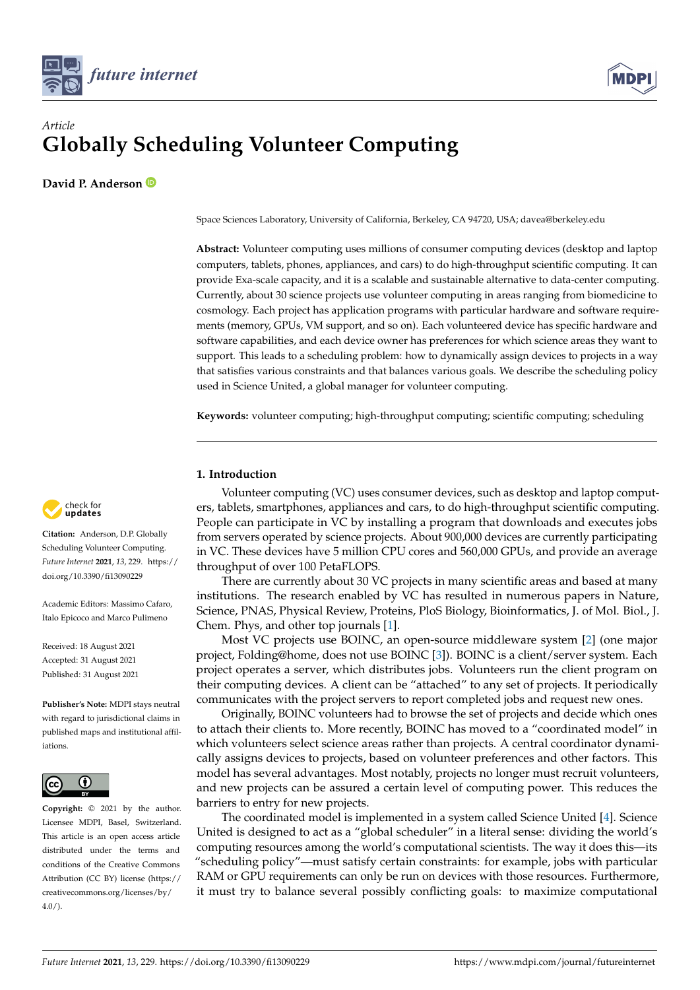



# *Article* **Globally Scheduling Volunteer Computing**

**David P. Anderson**

Space Sciences Laboratory, University of California, Berkeley, CA 94720, USA; davea@berkeley.edu

**Abstract:** Volunteer computing uses millions of consumer computing devices (desktop and laptop computers, tablets, phones, appliances, and cars) to do high-throughput scientific computing. It can provide Exa-scale capacity, and it is a scalable and sustainable alternative to data-center computing. Currently, about 30 science projects use volunteer computing in areas ranging from biomedicine to cosmology. Each project has application programs with particular hardware and software requirements (memory, GPUs, VM support, and so on). Each volunteered device has specific hardware and software capabilities, and each device owner has preferences for which science areas they want to support. This leads to a scheduling problem: how to dynamically assign devices to projects in a way that satisfies various constraints and that balances various goals. We describe the scheduling policy used in Science United, a global manager for volunteer computing.

**Keywords:** volunteer computing; high-throughput computing; scientific computing; scheduling

## **1. Introduction**

Volunteer computing (VC) uses consumer devices, such as desktop and laptop computers, tablets, smartphones, appliances and cars, to do high-throughput scientific computing. People can participate in VC by installing a program that downloads and executes jobs from servers operated by science projects. About 900,000 devices are currently participating in VC. These devices have 5 million CPU cores and 560,000 GPUs, and provide an average throughput of over 100 PetaFLOPS.

There are currently about 30 VC projects in many scientific areas and based at many institutions. The research enabled by VC has resulted in numerous papers in Nature, Science, PNAS, Physical Review, Proteins, PloS Biology, Bioinformatics, J. of Mol. Biol., J. Chem. Phys, and other top journals [\[1\]](#page-11-0).

Most VC projects use BOINC, an open-source middleware system [\[2\]](#page-11-1) (one major project, Folding@home, does not use BOINC [\[3\]](#page-11-2)). BOINC is a client/server system. Each project operates a server, which distributes jobs. Volunteers run the client program on their computing devices. A client can be "attached" to any set of projects. It periodically communicates with the project servers to report completed jobs and request new ones.

Originally, BOINC volunteers had to browse the set of projects and decide which ones to attach their clients to. More recently, BOINC has moved to a "coordinated model" in which volunteers select science areas rather than projects. A central coordinator dynamically assigns devices to projects, based on volunteer preferences and other factors. This model has several advantages. Most notably, projects no longer must recruit volunteers, and new projects can be assured a certain level of computing power. This reduces the barriers to entry for new projects.

The coordinated model is implemented in a system called Science United [\[4\]](#page-11-3). Science United is designed to act as a "global scheduler" in a literal sense: dividing the world's computing resources among the world's computational scientists. The way it does this—its "scheduling policy"—must satisfy certain constraints: for example, jobs with particular RAM or GPU requirements can only be run on devices with those resources. Furthermore, it must try to balance several possibly conflicting goals: to maximize computational



**Citation:** Anderson, D.P. Globally Scheduling Volunteer Computing. *Future Internet* **2021**, *13*, 229. [https://](https://doi.org/10.3390/fi13090229) [doi.org/10.3390/fi13090229](https://doi.org/10.3390/fi13090229)

Academic Editors: Massimo Cafaro, Italo Epicoco and Marco Pulimeno

Received: 18 August 2021 Accepted: 31 August 2021 Published: 31 August 2021

**Publisher's Note:** MDPI stays neutral with regard to jurisdictional claims in published maps and institutional affiliations.



**Copyright:** © 2021 by the author. Licensee MDPI, Basel, Switzerland. This article is an open access article distributed under the terms and conditions of the Creative Commons Attribution (CC BY) license (https:/[/](https://creativecommons.org/licenses/by/4.0/) [creativecommons.org/licenses/by/](https://creativecommons.org/licenses/by/4.0/)  $4.0/$ ).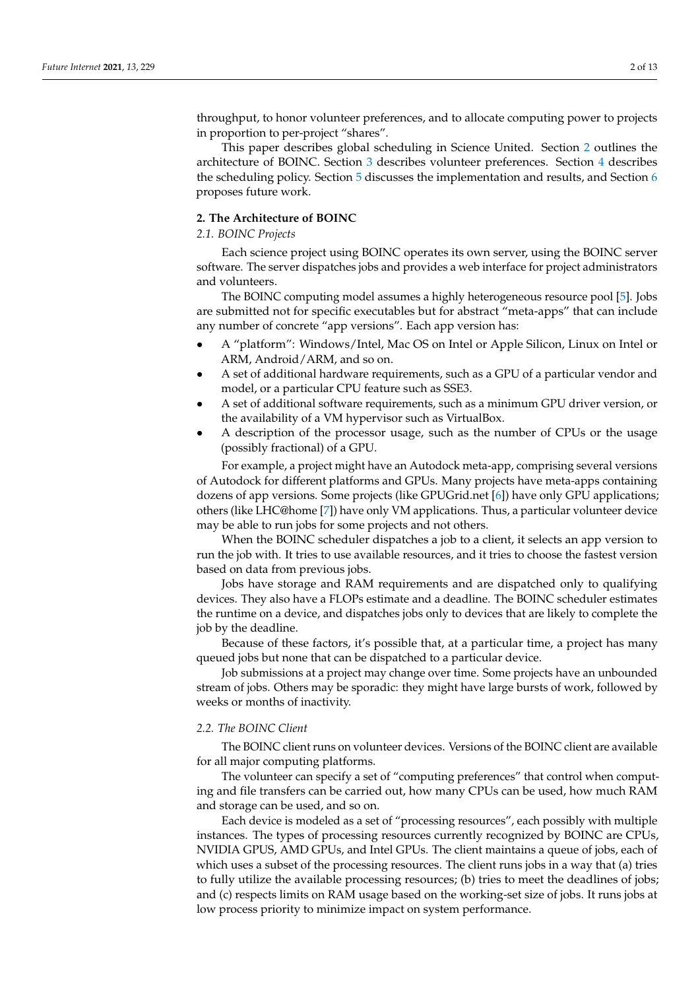throughput, to honor volunteer preferences, and to allocate computing power to projects in proportion to per-project "shares".

This paper describes global scheduling in Science United. Section [2](#page-1-0) outlines the architecture of BOINC. Section [3](#page-2-0) describes volunteer preferences. Section [4](#page-5-0) describes the scheduling policy. Section [5](#page-8-0) discusses the implementation and results, and Section [6](#page-9-0) proposes future work.

#### <span id="page-1-0"></span>**2. The Architecture of BOINC**

#### <span id="page-1-1"></span>*2.1. BOINC Projects*

Each science project using BOINC operates its own server, using the BOINC server software. The server dispatches jobs and provides a web interface for project administrators and volunteers.

The BOINC computing model assumes a highly heterogeneous resource pool [\[5\]](#page-11-4). Jobs are submitted not for specific executables but for abstract "meta-apps" that can include any number of concrete "app versions". Each app version has:

- A "platform": Windows/Intel, Mac OS on Intel or Apple Silicon, Linux on Intel or ARM, Android/ARM, and so on.
- A set of additional hardware requirements, such as a GPU of a particular vendor and model, or a particular CPU feature such as SSE3.
- A set of additional software requirements, such as a minimum GPU driver version, or the availability of a VM hypervisor such as VirtualBox.
- A description of the processor usage, such as the number of CPUs or the usage (possibly fractional) of a GPU.

For example, a project might have an Autodock meta-app, comprising several versions of Autodock for different platforms and GPUs. Many projects have meta-apps containing dozens of app versions. Some projects (like GPUGrid.net [\[6\]](#page-11-5)) have only GPU applications; others (like LHC@home [\[7\]](#page-11-6)) have only VM applications. Thus, a particular volunteer device may be able to run jobs for some projects and not others.

When the BOINC scheduler dispatches a job to a client, it selects an app version to run the job with. It tries to use available resources, and it tries to choose the fastest version based on data from previous jobs.

Jobs have storage and RAM requirements and are dispatched only to qualifying devices. They also have a FLOPs estimate and a deadline. The BOINC scheduler estimates the runtime on a device, and dispatches jobs only to devices that are likely to complete the job by the deadline.

Because of these factors, it's possible that, at a particular time, a project has many queued jobs but none that can be dispatched to a particular device.

Job submissions at a project may change over time. Some projects have an unbounded stream of jobs. Others may be sporadic: they might have large bursts of work, followed by weeks or months of inactivity.

#### *2.2. The BOINC Client*

The BOINC client runs on volunteer devices. Versions of the BOINC client are available for all major computing platforms.

The volunteer can specify a set of "computing preferences" that control when computing and file transfers can be carried out, how many CPUs can be used, how much RAM and storage can be used, and so on.

Each device is modeled as a set of "processing resources", each possibly with multiple instances. The types of processing resources currently recognized by BOINC are CPUs, NVIDIA GPUS, AMD GPUs, and Intel GPUs. The client maintains a queue of jobs, each of which uses a subset of the processing resources. The client runs jobs in a way that (a) tries to fully utilize the available processing resources; (b) tries to meet the deadlines of jobs; and (c) respects limits on RAM usage based on the working-set size of jobs. It runs jobs at low process priority to minimize impact on system performance.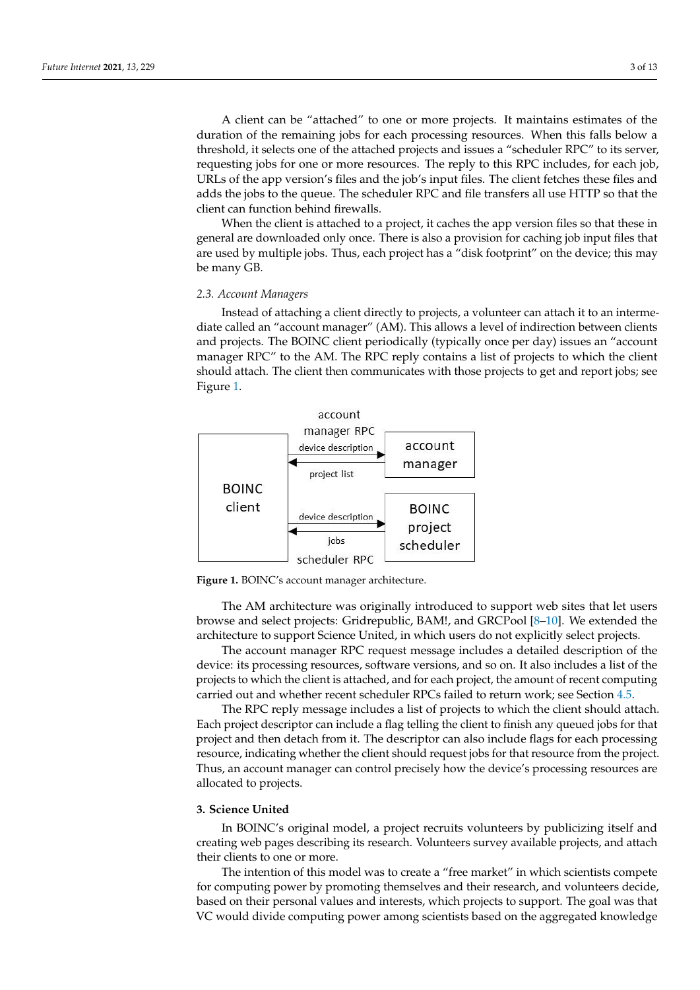A client can be "attached" to one or more projects. It maintains estimates of the duration of the remaining jobs for each processing resources. When this falls below a<br>the dubblic transferse all use HTTP so that the client all use HTTP so that the client threshold, it selects one of the attached projects and issues a "scheduler RPC" to its server, requesting jobs for one or more resources. The reply to this RPC includes, for each job, URLs of the app version's files and the job's input files. The client fetches these files and adds the jobs to the queue. The scheduler RPC and file transfers all use HTTP so that the that can function behind firewalls.<br>that are used by multiple jobs. Thus, each project has a "disk footprint" on the device; this a "disk footprint" on the device; this and the device; this can be device; this can be devic

old, it selects one of the attached projects and issues a "scheduler RPC" to its server, re-

When the client is attached to a project, it caches the app version files so that these in when the chent is attached to a project, it caches the app version mes so that these in<br>general are downloaded only once. There is also a provision for caching job input files that are used by multiple jobs. Thus, each project has a "disk footprint" on the device; this may be many GB.

#### *2.3. Account Managers*  $A$  count Managers

Instead of attaching a client directly to projects, a volunteer can attach it to an intermediate called an "account manager" (AM). This allows a level of indirection between clients and projects. The BOINC client periodically (typically once per day) issues an "account manager RPC" to the AM. The RPC reply contains a list of projects to which the client should attach. The client then communicates with those projects to get and report jobs; see<br>Figure 1 Figure [1.](#page-2-1)

<span id="page-2-1"></span>

**Figure 1.** BOINC's account manager architecture. **Figure 1.** BOINC's account manager architecture.

browse and select projects: Gridrepublic, BAM!, and GRCPool [\[8](#page-12-0)[–10\]](#page-12-1). We extended the architecture to support Science United, in which users do not explicitly select projects.<br>The execunt manager PPC request message includes a datailed description of the The AM architecture was originally introduced to support web sites that let users

device: its processing resources, software versions, and so on. It also includes a list of the projects to which the client is attached, and for each project, the amount of recent computing carried out and whether recent scheduler RPCs failed to return work; see Section 4.5. The account manager RPC request message includes a detailed description of the

The RPC reply message includes a list of projects to which the client should attach. project descriptor can include a hag tening the energy of massivily queded jobs for that project and then detach from it. The descriptor can also include flags for each processing resource, indicating whether the client should request jobs for that resource from the project. Thus, an account manager can control precisely how the device's processing resources are that projects. The detach from it. The description is descripted for each project of each projects. Each project descriptor can include a flag telling the client to finish any queued jobs for that

#### <span id="page-2-0"></span>3. Science, United **3. Science United**

In BOINC's original model, a project recruits volunteers by publicizing itself and creating web pages describing its research. Volunteers survey available projects, and attach their clients to one or more.

The intention of this model was to create a "free market" in which scientists compete based on their personal values and interests, which projects to support. The goal was that VC would divide computing power among scientists based on the aggregated knowledge for computing power by promoting themselves and their research, and volunteers decide,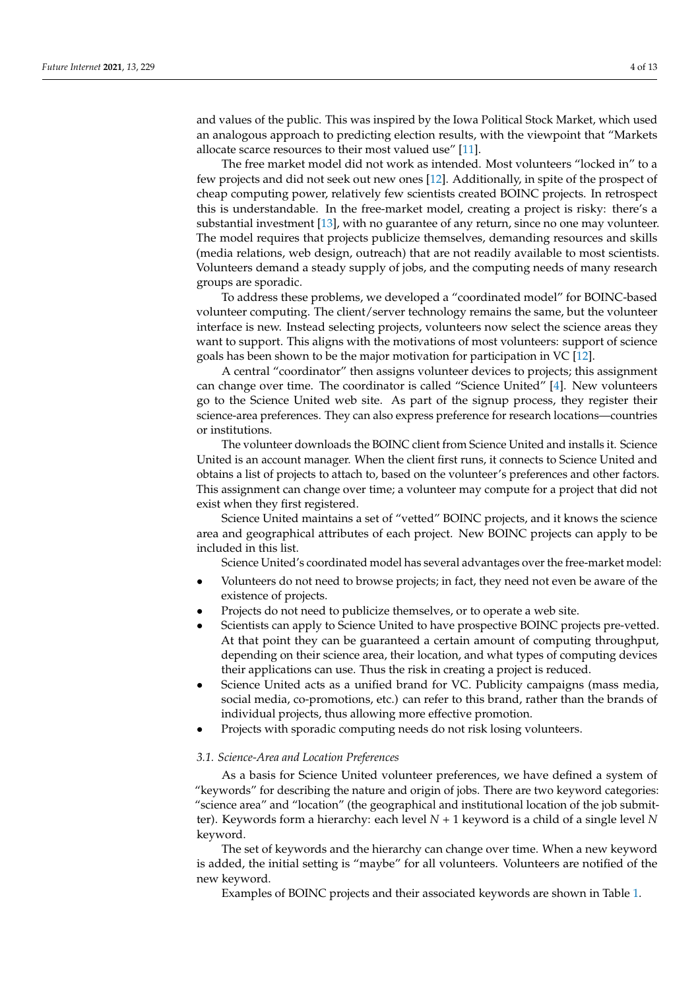and values of the public. This was inspired by the Iowa Political Stock Market, which used an analogous approach to predicting election results, with the viewpoint that "Markets allocate scarce resources to their most valued use" [\[11\]](#page-12-2).

The free market model did not work as intended. Most volunteers "locked in" to a few projects and did not seek out new ones [\[12\]](#page-12-3). Additionally, in spite of the prospect of cheap computing power, relatively few scientists created BOINC projects. In retrospect this is understandable. In the free-market model, creating a project is risky: there's a substantial investment [\[13\]](#page-12-4), with no guarantee of any return, since no one may volunteer. The model requires that projects publicize themselves, demanding resources and skills (media relations, web design, outreach) that are not readily available to most scientists. Volunteers demand a steady supply of jobs, and the computing needs of many research groups are sporadic.

To address these problems, we developed a "coordinated model" for BOINC-based volunteer computing. The client/server technology remains the same, but the volunteer interface is new. Instead selecting projects, volunteers now select the science areas they want to support. This aligns with the motivations of most volunteers: support of science goals has been shown to be the major motivation for participation in VC [\[12\]](#page-12-3).

A central "coordinator" then assigns volunteer devices to projects; this assignment can change over time. The coordinator is called "Science United" [\[4\]](#page-11-3). New volunteers go to the Science United web site. As part of the signup process, they register their science-area preferences. They can also express preference for research locations—countries or institutions.

The volunteer downloads the BOINC client from Science United and installs it. Science United is an account manager. When the client first runs, it connects to Science United and obtains a list of projects to attach to, based on the volunteer's preferences and other factors. This assignment can change over time; a volunteer may compute for a project that did not exist when they first registered.

Science United maintains a set of "vetted" BOINC projects, and it knows the science area and geographical attributes of each project. New BOINC projects can apply to be included in this list.

Science United's coordinated model has several advantages over the free-market model:

- Volunteers do not need to browse projects; in fact, they need not even be aware of the existence of projects.
- Projects do not need to publicize themselves, or to operate a web site.
- Scientists can apply to Science United to have prospective BOINC projects pre-vetted. At that point they can be guaranteed a certain amount of computing throughput, depending on their science area, their location, and what types of computing devices their applications can use. Thus the risk in creating a project is reduced.
- Science United acts as a unified brand for VC. Publicity campaigns (mass media, social media, co-promotions, etc.) can refer to this brand, rather than the brands of individual projects, thus allowing more effective promotion.
- Projects with sporadic computing needs do not risk losing volunteers.

#### *3.1. Science-Area and Location Preferences*

As a basis for Science United volunteer preferences, we have defined a system of "keywords" for describing the nature and origin of jobs. There are two keyword categories: "science area" and "location" (the geographical and institutional location of the job submitter). Keywords form a hierarchy: each level *N* + 1 keyword is a child of a single level *N* keyword.

The set of keywords and the hierarchy can change over time. When a new keyword is added, the initial setting is "maybe" for all volunteers. Volunteers are notified of the new keyword.

Examples of BOINC projects and their associated keywords are shown in Table [1.](#page-4-0)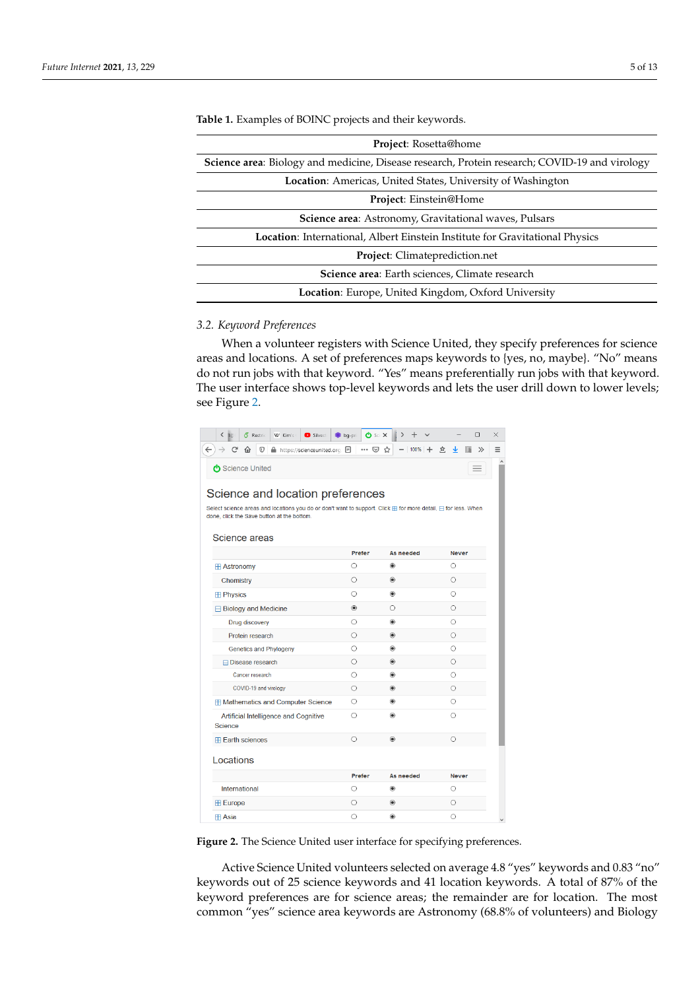| Project: Rosetta@home                                                                         |
|-----------------------------------------------------------------------------------------------|
| Science area: Biology and medicine, Disease research, Protein research; COVID-19 and virology |
| Location: Americas, United States, University of Washington                                   |
| Project: Einstein@Home                                                                        |
| Science area: Astronomy, Gravitational waves, Pulsars                                         |
| Location: International, Albert Einstein Institute for Gravitational Physics                  |
| Project: Climateprediction.net                                                                |
| Science area: Earth sciences, Climate research                                                |
| Location: Europe, United Kingdom, Oxford University                                           |

<span id="page-4-0"></span>**Table 1.** Examples of BOINC projects and their keywords.

#### *3.2. Keyword Preferences* yworu Preferences with Science United, they specify preferences for specific preferences for science  $\eta$

When a volunteer registers with Science United, they specify preferences for science areas and locations. A set of preferences maps keywords to {yes, no, maybe}. "No" means do not run jobs with that keyword. "Yes" means preferentially run jobs with that keyword. The user interface shows top-level keywords and lets the user drill down to lower levels; s[ee](#page-4-1) Figure 2. when a volumeer registers with Science United, they specify preferences for science

<span id="page-4-1"></span>

| K<br>6 Restric<br>W Kim's<br>Silvest                                                                          | O Sci X<br>bg-pri |                  | $\Box$          | $\times$ |
|---------------------------------------------------------------------------------------------------------------|-------------------|------------------|-----------------|----------|
| $\mathbb{O}$ A https://scienceunited.org $\boxdot$<br>$\leftarrow$<br>G<br>⋒                                  | … ⊙ ☆             | $-$ 100% $+$     | $\gg$<br>立<br>₩ | Ξ        |
| Science United                                                                                                |                   |                  |                 |          |
|                                                                                                               |                   |                  |                 |          |
| Science and location preferences                                                                              |                   |                  |                 |          |
| Select science areas and locations you do or don't want to support. Click H for more detail, E for less. When |                   |                  |                 |          |
| done, click the Save button at the bottom.                                                                    |                   |                  |                 |          |
| Science areas                                                                                                 |                   |                  |                 |          |
|                                                                                                               | Prefer            | <b>As needed</b> | <b>Never</b>    |          |
| <b>⊞ Astronomy</b>                                                                                            | O                 | $\circledcirc$   | Ω               |          |
| Chemistry                                                                                                     | $\circ$           | $\circledcirc$   | $\circ$         |          |
| <b>E</b> Physics                                                                                              | O                 | $\circledcirc$   | Ο               |          |
| <b>⊟ Biology and Medicine</b>                                                                                 | $\circledcirc$    | $\bigcirc$       | Ο               |          |
| Drug discovery                                                                                                | O                 | $\circledcirc$   | Ο               |          |
| Protein research                                                                                              | $\bigcirc$        | $\circledcirc$   | Ο               |          |
| <b>Genetics and Phylogeny</b>                                                                                 | O                 | $^{\circ}$       | Ο               |          |
| <b>⊟</b> Disease research                                                                                     | $\bigcirc$        | $\circledcirc$   | $\bigcirc$      |          |
| Cancer research                                                                                               | O                 | $^{\circ}$       | O               |          |
| COVID-19 and virology                                                                                         | $\bigcirc$        | $\circledcirc$   | Ο               |          |
| <b>H</b> Mathematics and Computer Science                                                                     | O                 | $\circledcirc$   | O               |          |
| Artificial Intelligence and Cognitive<br>Science                                                              | O                 | $\circledcirc$   | Ο               |          |
| <b>H</b> Earth sciences                                                                                       | $\bigcirc$        | $\circledcirc$   | Ο               |          |
| Locations                                                                                                     |                   |                  |                 |          |
|                                                                                                               | Prefer            | As needed        | <b>Never</b>    |          |
| International                                                                                                 | O                 | $\circledbullet$ | Ο               |          |
| <b>E</b> Europe                                                                                               | $\bigcirc$        | $\circledbullet$ | Ο               |          |
|                                                                                                               |                   |                  |                 |          |

**Figure 2.** The Science United user interface for specifying preferences. **Figure 2.** The Science United user interface for specifying preferences.

Active Science United volunteers selected on average 4.8 "yes" keywords and 0.83 keywords out of 25 science keywords and 41 location keywords. A total of 87% of the keyword preferences are for science areas; the remainder are for location. The most common "yes" science area keywords are Astronomy (68.8% of volunteers) and Biology Active Science United volunteers selected on average 4.8 "yes" keywords and 0.83 "no"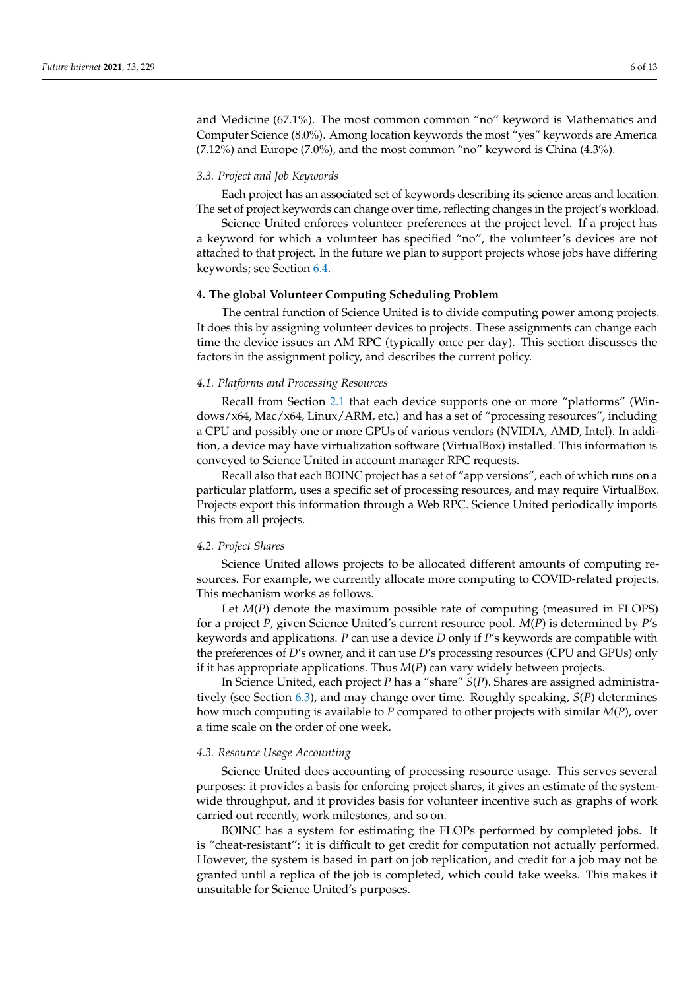and Medicine (67.1%). The most common common "no" keyword is Mathematics and Computer Science (8.0%). Among location keywords the most "yes" keywords are America (7.12%) and Europe (7.0%), and the most common "no" keyword is China (4.3%).

#### *3.3. Project and Job Keywords*

Each project has an associated set of keywords describing its science areas and location. The set of project keywords can change over time, reflecting changes in the project's workload.

Science United enforces volunteer preferences at the project level. If a project has a keyword for which a volunteer has specified "no", the volunteer's devices are not attached to that project. In the future we plan to support projects whose jobs have differing keywords; see Section [6.4.](#page-10-0)

### <span id="page-5-0"></span>**4. The global Volunteer Computing Scheduling Problem**

The central function of Science United is to divide computing power among projects. It does this by assigning volunteer devices to projects. These assignments can change each time the device issues an AM RPC (typically once per day). This section discusses the factors in the assignment policy, and describes the current policy.

#### *4.1. Platforms and Processing Resources*

Recall from Section [2.1](#page-1-1) that each device supports one or more "platforms" (Windows/x64, Mac/x64, Linux/ARM, etc.) and has a set of "processing resources", including a CPU and possibly one or more GPUs of various vendors (NVIDIA, AMD, Intel). In addition, a device may have virtualization software (VirtualBox) installed. This information is conveyed to Science United in account manager RPC requests.

Recall also that each BOINC project has a set of "app versions", each of which runs on a particular platform, uses a specific set of processing resources, and may require VirtualBox. Projects export this information through a Web RPC. Science United periodically imports this from all projects.

### *4.2. Project Shares*

Science United allows projects to be allocated different amounts of computing resources. For example, we currently allocate more computing to COVID-related projects. This mechanism works as follows.

Let *M*(*P*) denote the maximum possible rate of computing (measured in FLOPS) for a project *P*, given Science United's current resource pool. *M*(*P*) is determined by *P*'s keywords and applications. *P* can use a device *D* only if *P*'s keywords are compatible with the preferences of *D*'s owner, and it can use *D*'s processing resources (CPU and GPUs) only if it has appropriate applications. Thus *M*(*P*) can vary widely between projects.

In Science United, each project *P* has a "share" *S*(*P*). Shares are assigned administratively (see Section [6.3\)](#page-10-1), and may change over time. Roughly speaking, *S*(*P*) determines how much computing is available to *P* compared to other projects with similar *M*(*P*), over a time scale on the order of one week.

#### *4.3. Resource Usage Accounting*

Science United does accounting of processing resource usage. This serves several purposes: it provides a basis for enforcing project shares, it gives an estimate of the systemwide throughput, and it provides basis for volunteer incentive such as graphs of work carried out recently, work milestones, and so on.

BOINC has a system for estimating the FLOPs performed by completed jobs. It is "cheat-resistant": it is difficult to get credit for computation not actually performed. However, the system is based in part on job replication, and credit for a job may not be granted until a replica of the job is completed, which could take weeks. This makes it unsuitable for Science United's purposes.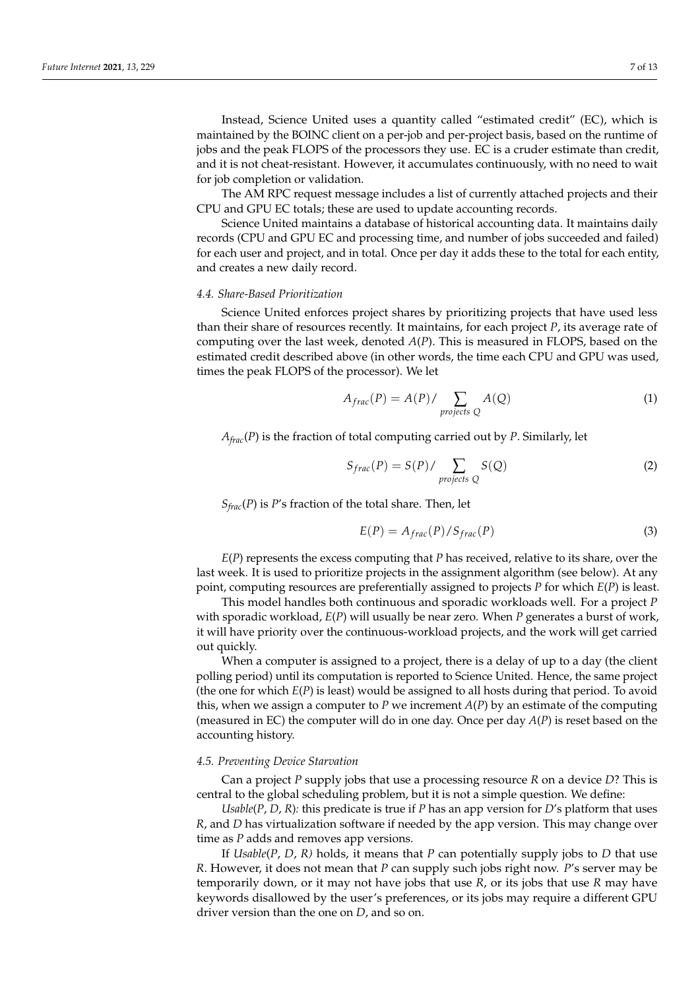Instead, Science United uses a quantity called "estimated credit" (EC), which is maintained by the BOINC client on a per-job and per-project basis, based on the runtime of jobs and the peak FLOPS of the processors they use. EC is a cruder estimate than credit, and it is not cheat-resistant. However, it accumulates continuously, with no need to wait for job completion or validation.

The AM RPC request message includes a list of currently attached projects and their CPU and GPU EC totals; these are used to update accounting records.

Science United maintains a database of historical accounting data. It maintains daily records (CPU and GPU EC and processing time, and number of jobs succeeded and failed) for each user and project, and in total. Once per day it adds these to the total for each entity, and creates a new daily record.

#### <span id="page-6-1"></span>*4.4. Share-Based Prioritization*

Science United enforces project shares by prioritizing projects that have used less than their share of resources recently. It maintains, for each project *P*, its average rate of computing over the last week, denoted *A*(*P*). This is measured in FLOPS, based on the estimated credit described above (in other words, the time each CPU and GPU was used, times the peak FLOPS of the processor). We let

$$
A_{frac}(P) = A(P) / \sum_{\text{projects } Q} A(Q) \tag{1}
$$

*Afrac*(*P*) is the fraction of total computing carried out by *P*. Similarly, let

$$
S_{frac}(P) = S(P) / \sum_{\text{projects } Q} S(Q) \tag{2}
$$

*Sfrac*(*P*) is *P*'s fraction of the total share. Then, let

$$
E(P) = A_{frac}(P)/S_{frac}(P)
$$
\n(3)

*E*(*P*) represents the excess computing that *P* has received, relative to its share, over the last week. It is used to prioritize projects in the assignment algorithm (see below). At any point, computing resources are preferentially assigned to projects *P* for which *E*(*P*) is least.

This model handles both continuous and sporadic workloads well. For a project *P* with sporadic workload, *E*(*P*) will usually be near zero. When *P* generates a burst of work, it will have priority over the continuous-workload projects, and the work will get carried out quickly.

When a computer is assigned to a project, there is a delay of up to a day (the client polling period) until its computation is reported to Science United. Hence, the same project (the one for which *E*(*P*) is least) would be assigned to all hosts during that period. To avoid this, when we assign a computer to *P* we increment  $A(P)$  by an estimate of the computing (measured in EC) the computer will do in one day. Once per day *A*(*P*) is reset based on the accounting history.

#### <span id="page-6-0"></span>*4.5. Preventing Device Starvation*

Can a project *P* supply jobs that use a processing resource *R* on a device *D*? This is central to the global scheduling problem, but it is not a simple question. We define:

*Usable*(*P*, *D*, *R*)*:* this predicate is true if *P* has an app version for *D*'s platform that uses *R*, and *D* has virtualization software if needed by the app version. This may change over time as *P* adds and removes app versions.

If *Usable*( $P$ ,  $D$ ,  $R$ ) holds, it means that  $P$  can potentially supply jobs to  $D$  that use *R*. However, it does not mean that *P* can supply such jobs right now. *P*'s server may be temporarily down, or it may not have jobs that use *R*, or its jobs that use *R* may have keywords disallowed by the user's preferences, or its jobs may require a different GPU driver version than the one on *D*, and so on.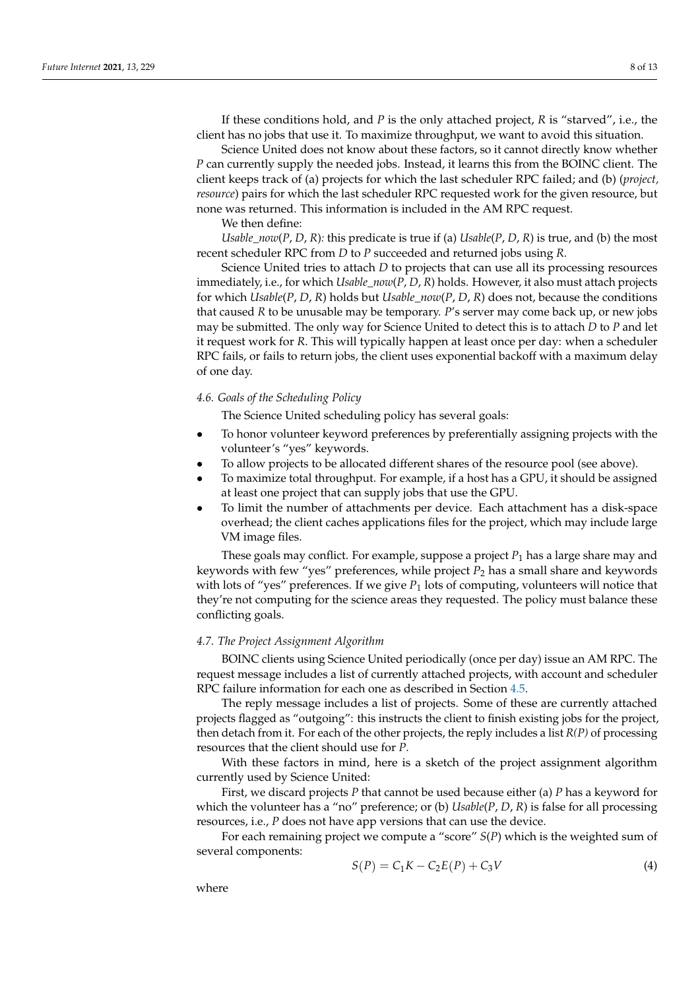If these conditions hold, and *P* is the only attached project, *R* is "starved", i.e., the client has no jobs that use it. To maximize throughput, we want to avoid this situation.

Science United does not know about these factors, so it cannot directly know whether *P* can currently supply the needed jobs. Instead, it learns this from the BOINC client. The client keeps track of (a) projects for which the last scheduler RPC failed; and (b) (*project, resource*) pairs for which the last scheduler RPC requested work for the given resource, but none was returned. This information is included in the AM RPC request.

We then define:

*Usable\_now*(*P*, *D*, *R*)*:* this predicate is true if (a) *Usable*(*P*, *D*, *R*) is true, and (b) the most recent scheduler RPC from *D* to *P* succeeded and returned jobs using *R*.

Science United tries to attach *D* to projects that can use all its processing resources immediately, i.e., for which *Usable\_now*(*P*, *D*, *R*) holds. However, it also must attach projects for which *Usable*(*P*, *D*, *R*) holds but *Usable\_now*(*P*, *D*, *R*) does not, because the conditions that caused *R* to be unusable may be temporary. *P*'s server may come back up, or new jobs may be submitted. The only way for Science United to detect this is to attach *D* to *P* and let it request work for *R*. This will typically happen at least once per day: when a scheduler RPC fails, or fails to return jobs, the client uses exponential backoff with a maximum delay of one day.

### <span id="page-7-0"></span>*4.6. Goals of the Scheduling Policy*

The Science United scheduling policy has several goals:

- To honor volunteer keyword preferences by preferentially assigning projects with the volunteer's "yes" keywords.
- To allow projects to be allocated different shares of the resource pool (see above).
- To maximize total throughput. For example, if a host has a GPU, it should be assigned at least one project that can supply jobs that use the GPU.
- To limit the number of attachments per device. Each attachment has a disk-space overhead; the client caches applications files for the project, which may include large VM image files.

These goals may conflict. For example, suppose a project *P*<sup>1</sup> has a large share may and keywords with few "yes" preferences, while project  $P_2$  has a small share and keywords with lots of "yes" preferences. If we give  $P_1$  lots of computing, volunteers will notice that they're not computing for the science areas they requested. The policy must balance these conflicting goals.

#### *4.7. The Project Assignment Algorithm*

BOINC clients using Science United periodically (once per day) issue an AM RPC. The request message includes a list of currently attached projects, with account and scheduler RPC failure information for each one as described in Section [4.5.](#page-6-0)

The reply message includes a list of projects. Some of these are currently attached projects flagged as "outgoing": this instructs the client to finish existing jobs for the project, then detach from it. For each of the other projects, the reply includes a list *R(P)* of processing resources that the client should use for *P*.

With these factors in mind, here is a sketch of the project assignment algorithm currently used by Science United:

First, we discard projects *P* that cannot be used because either (a) *P* has a keyword for which the volunteer has a "no" preference; or (b) *Usable*(*P*, *D*, *R*) is false for all processing resources, i.e., *P* does not have app versions that can use the device.

For each remaining project we compute a "score" *S*(*P*) which is the weighted sum of several components:

$$
S(P) = C_1 K - C_2 E(P) + C_3 V \tag{4}
$$

where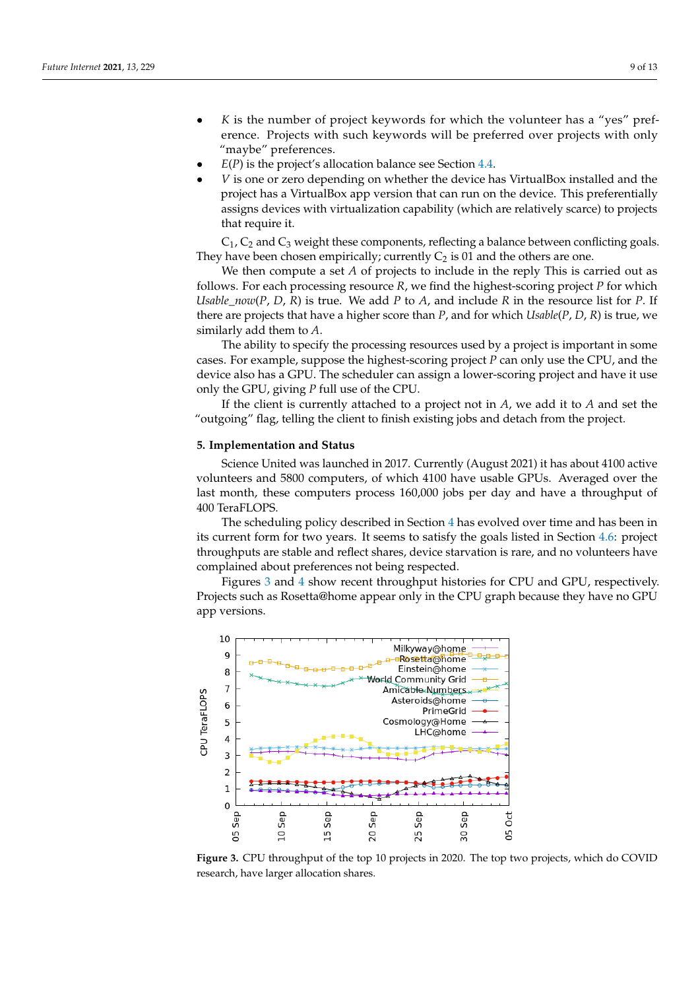- *K* is the number of project keywords for which the volunteer has a "yes" pref-If is the number of project keywords for which the volumeer has a yestime-<br>erence. Projects with such keywords will be preferred over projects with only "maybe" preferences. C1, C2 and C3 weight these components, reflecting a balance between conflicting
- $E(P)$  is the project's allocation balance see Section 4.4.
- *V* is one or zero depending on whether the device has VirtualBox installed and the • • • • is one or zero depending on whether the device has virtualbox instanted and the project has a VirtualBox app version that can run on the device. This preferentially assigns devices with virtualization capability (which are relatively scarce) to projects that require it.

 $C_1$ ,  $C_2$  and  $C_3$  weight these components, reflecting a balance between conflicting goals. They have been chosen empirically; currently  $C_2$  is 01 and the others are one.

We then compute a set *A* of projects to include in the reply This is carried out as We then compute a set *A* of projects to include in the reply This is carried out as follows. For each processing resource  $R$ , we find the highest-scoring project  $P$  for which *Usable\_now*( $P$ ,  $D$ ,  $R$ ) is true. We add  $P$  to  $A$ , and include  $R$  in the resource list for  $P$ . If there are projects that have a higher score than P, and for which  $\mathit{Usable}(P, D, R)$  is true, we<br>similarly add them to A similarly add them to *A*.

The ability to specify the processing resources used by a project is important in some cases. For example, suppose the highest-scoring project *P* can only use the CPU, and the device also has a GPU. The scheduler can assign a lower-scoring project and have it use<br>only the CPU, giving *P* full use of the CPU. only the GPU, giving *P* full use of the CPU.

If the client is currently attached to a project not in  $A$ , we add it to  $A$  and set the "outgoing" flag, telling the client to finish existing jobs and detach from the project.

## <span id="page-8-0"></span>**5. Implementation and Status** month, these computers process 160,000  $\mu$

Science United was launched in 2017. Currently (August 2021) it has about 4100 active volunteers and 5800 computers, of which 4100 have usable GPUs. Averaged over the<br>Jest menth, these computers are seen 160,000 into next day on discuss a three polytott of last month, these computers process 160,000 jobs per day and have a throughput of 400 TeraFLOPS. 400 TeraFLOPS.

The scheduling policy described in Section 4 has evolved over time and has been in its current form for two years. It seems to satisfy the goals listed in Section [4.6:](#page-7-0) project<br>throughout presentative about preferences not be in the second about preferences not throughputs are stable and reflect shares, device starvation is rare, and no volunteers have complained about preferences not being respected.

Figures 3 and 4 show recent throughput histories for CPU and GPU, respectively. Projects such as Rosetta@home appear only in the CPU graph because they have no GPU app versions.

<span id="page-8-1"></span>

**Figure 3.** CPU throughput of the top 10 projects in 2020. The top two projects, which do COVID research have larger allocation shares research, have larger allocation shares. research, have larger allocation shares.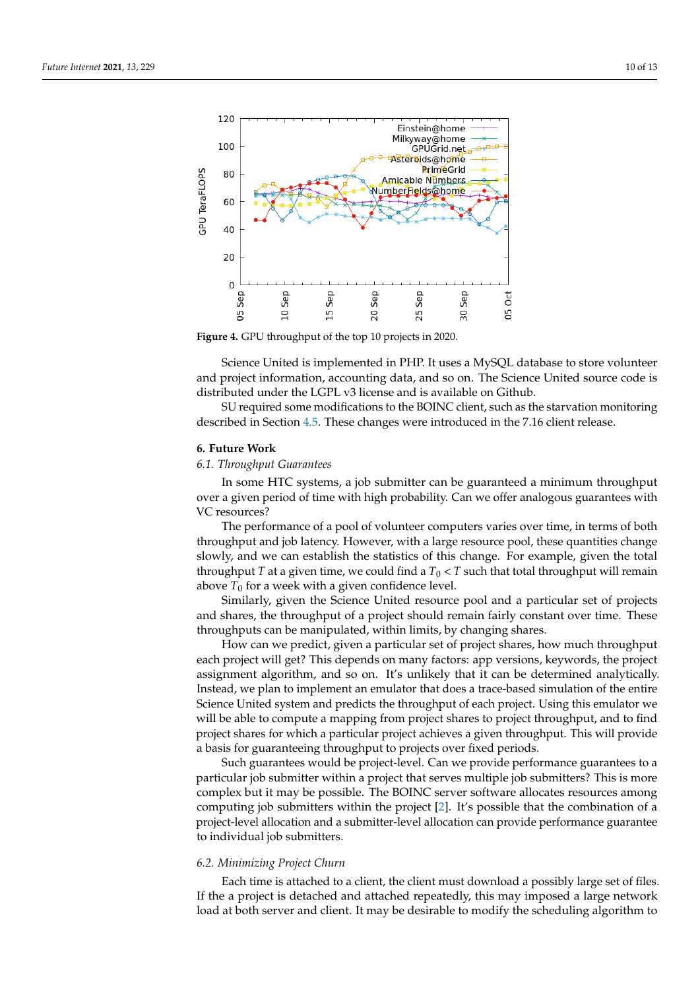<span id="page-9-1"></span>

**Figure 4.** GPU throughput of the top 10 projects in 2020. **Figure 4.** GPU throughput of the top 10 projects in 2020.

and project information, accounting data, and so on. The Science United source code is<br>distributed under the LCPL v2 lisence and is available on Citbub. Science United is implemented in PHP. It uses a MySQL database to store volunteer distributed under the LGPL v3 license and is available on Github.

SU required some modifications to the BOINC client, such as the starvation monitoring described in Section 4.5. These changes were introduced in the 7.16 client release.

#### <span id="page-9-0"></span> $\overline{\text{SUS}}$  which is the BOINC client, such as the starting modification monitor-starting monitor-starting monitor-starting monoton-starting monoton-starting monoton-starting monoton-starting monoton-starting monoton-star **6. Future Work**

## ing described in Section 4.5. These changes were introduced in the 7.16 client release. *6.1. Throughput Guarantees*

over a given period of time with high probability. Can we offer analogous guarantees with In some HTC systems, a job submitter can be guaranteed a minimum throughput VC resources?

The performance of a pool of volunteer computers varies over time, in terms of both throughput and job latency. However, with a large resource pool, these quantities change<br>slowly, and we can establish the statistics of this change. For example, given the total throughput *T* at a given time, we could find a  $T_0 < T$  such that total throughput will remain above  $T_0$  for a week with a given confidence level. slowly, and we can establish the statistics of this change. For example, given the total

Similarly, given the Science Onlied resource pool and a particular set of projects and shares, the throughput of a project should remain fairly constant over time. These throughputs can be manipulated, within limits, by changing shares. Similarly, given the Science United resource pool and a particular set of projects

How can we predict, given a particular set of project shares, how much throughput each project will get? This depends on many factors: app versions, keywords, the project as a *commont algorithm* and so on *It's unlikely that it can be determined analytically* Instead, we plan to implement an emulator that does a trace-based simulation of the entire Science United system and predicts the throughput of each project. Using this emulator we will be able to compute a mapping from project shares to project throughput, and to find<br>project shares for which a particular project schience a given throughput. This will provide a basis for guaranteeing throughput to projects over fixed periods. assignment algorithm, and so on. It's unlikely that it can be determined analytically. project shares for which a particular project achieves a given throughput. This will provide

Such guarantees would be project-level. Can we provide performance guarantees to a particular job submitter within a project that serves multiple job submitters? This is more<br>complex by it move be possible. The POINC server seftware ellectes resources emong computing job submitters within the project [2]. It['s](#page-11-1) possible that the combination of a project-level allocation and a submitter-level allocation can provide performance guarantee to individual job submitters. complex but it may be possible. The BOINC server software allocates resources among

## we will be able to compute a mapping from project shares to project throughput, and to *6.2. Minimizing Project Churn*

Each time is attached to a client, the client must download a possibly large set of files. If the a project is detached and attached repeatedly, this may imposed a large network<br>lead at hath corresponded in the prophetical repeated in madific the asked pline algorithm to load at both server and client. It may be desirable to modify the scheduling algorithm to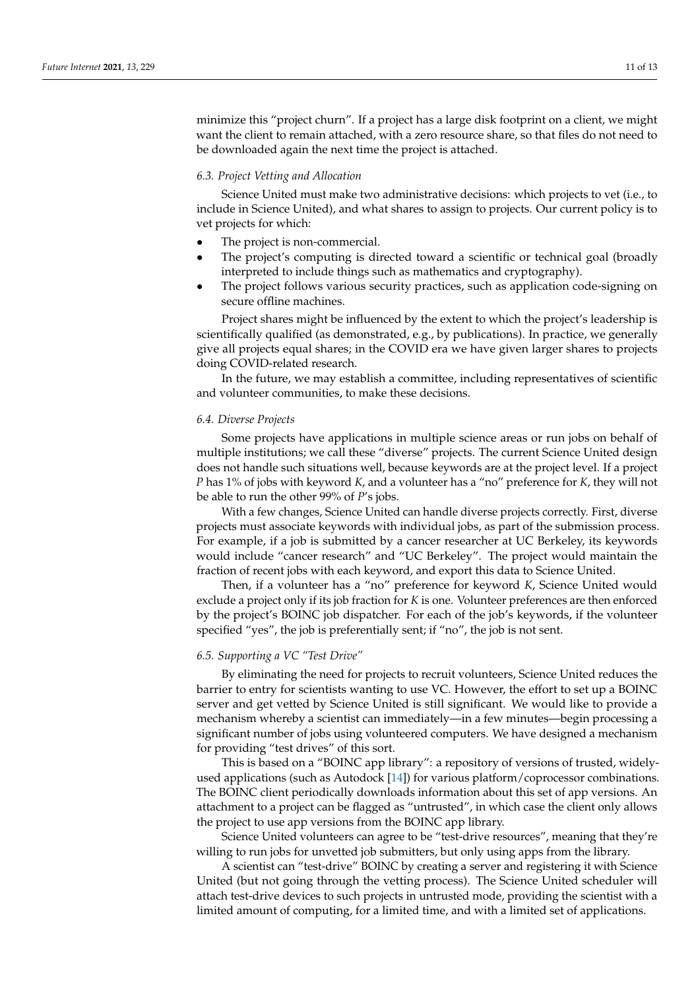minimize this "project churn". If a project has a large disk footprint on a client, we might want the client to remain attached, with a zero resource share, so that files do not need to be downloaded again the next time the project is attached.

#### <span id="page-10-1"></span>*6.3. Project Vetting and Allocation*

Science United must make two administrative decisions: which projects to vet (i.e., to include in Science United), and what shares to assign to projects. Our current policy is to vet projects for which:

- The project is non-commercial.
- The project's computing is directed toward a scientific or technical goal (broadly interpreted to include things such as mathematics and cryptography).
- The project follows various security practices, such as application code-signing on secure offline machines.

Project shares might be influenced by the extent to which the project's leadership is scientifically qualified (as demonstrated, e.g., by publications). In practice, we generally give all projects equal shares; in the COVID era we have given larger shares to projects doing COVID-related research.

In the future, we may establish a committee, including representatives of scientific and volunteer communities, to make these decisions.

#### <span id="page-10-0"></span>*6.4. Diverse Projects*

Some projects have applications in multiple science areas or run jobs on behalf of multiple institutions; we call these "diverse" projects. The current Science United design does not handle such situations well, because keywords are at the project level. If a project *P* has 1% of jobs with keyword *K*, and a volunteer has a "no" preference for *K*, they will not be able to run the other 99% of *P*'s jobs.

With a few changes, Science United can handle diverse projects correctly. First, diverse projects must associate keywords with individual jobs, as part of the submission process. For example, if a job is submitted by a cancer researcher at UC Berkeley, its keywords would include "cancer research" and "UC Berkeley". The project would maintain the fraction of recent jobs with each keyword, and export this data to Science United.

Then, if a volunteer has a "no" preference for keyword *K*, Science United would exclude a project only if its job fraction for *K* is one. Volunteer preferences are then enforced by the project's BOINC job dispatcher. For each of the job's keywords, if the volunteer specified "yes", the job is preferentially sent; if "no", the job is not sent.

### *6.5. Supporting a VC "Test Drive"*

By eliminating the need for projects to recruit volunteers, Science United reduces the barrier to entry for scientists wanting to use VC. However, the effort to set up a BOINC server and get vetted by Science United is still significant. We would like to provide a mechanism whereby a scientist can immediately—in a few minutes—begin processing a significant number of jobs using volunteered computers. We have designed a mechanism for providing "test drives" of this sort.

This is based on a "BOINC app library": a repository of versions of trusted, widelyused applications (such as Autodock [\[14\]](#page-12-5)) for various platform/coprocessor combinations. The BOINC client periodically downloads information about this set of app versions. An attachment to a project can be flagged as "untrusted", in which case the client only allows the project to use app versions from the BOINC app library.

Science United volunteers can agree to be "test-drive resources", meaning that they're willing to run jobs for unvetted job submitters, but only using apps from the library.

A scientist can "test-drive" BOINC by creating a server and registering it with Science United (but not going through the vetting process). The Science United scheduler will attach test-drive devices to such projects in untrusted mode, providing the scientist with a limited amount of computing, for a limited time, and with a limited set of applications.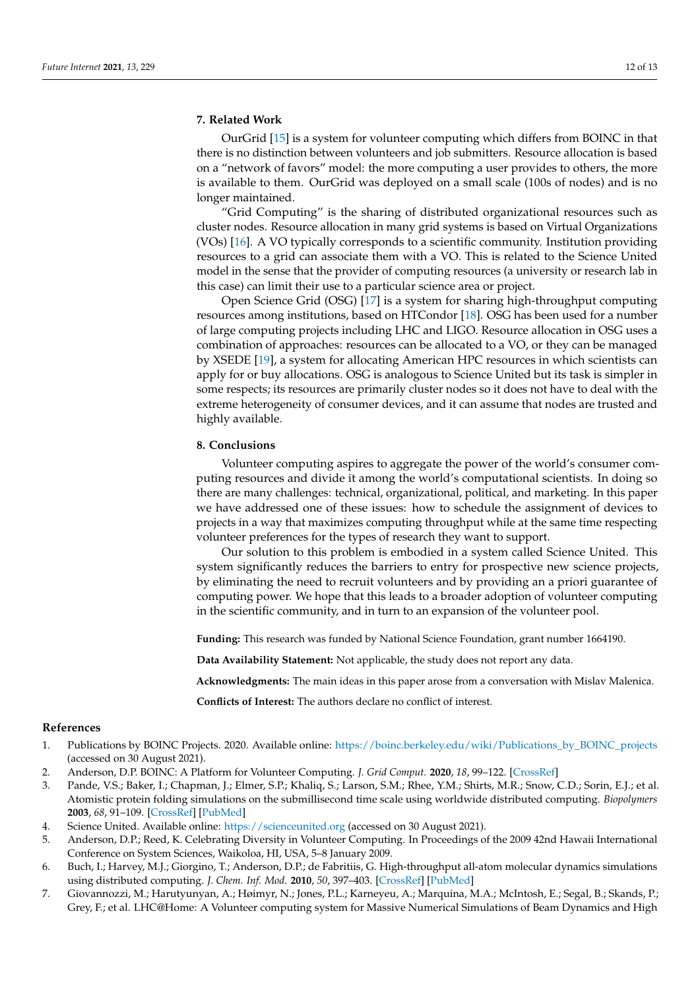### **7. Related Work**

OurGrid [\[15\]](#page-12-6) is a system for volunteer computing which differs from BOINC in that there is no distinction between volunteers and job submitters. Resource allocation is based on a "network of favors" model: the more computing a user provides to others, the more is available to them. OurGrid was deployed on a small scale (100s of nodes) and is no longer maintained.

"Grid Computing" is the sharing of distributed organizational resources such as cluster nodes. Resource allocation in many grid systems is based on Virtual Organizations (VOs) [\[16\]](#page-12-7). A VO typically corresponds to a scientific community. Institution providing resources to a grid can associate them with a VO. This is related to the Science United model in the sense that the provider of computing resources (a university or research lab in this case) can limit their use to a particular science area or project.

Open Science Grid (OSG) [\[17\]](#page-12-8) is a system for sharing high-throughput computing resources among institutions, based on HTCondor [\[18\]](#page-12-9). OSG has been used for a number of large computing projects including LHC and LIGO. Resource allocation in OSG uses a combination of approaches: resources can be allocated to a VO, or they can be managed by XSEDE [\[19\]](#page-12-10), a system for allocating American HPC resources in which scientists can apply for or buy allocations. OSG is analogous to Science United but its task is simpler in some respects; its resources are primarily cluster nodes so it does not have to deal with the extreme heterogeneity of consumer devices, and it can assume that nodes are trusted and highly available.

### **8. Conclusions**

Volunteer computing aspires to aggregate the power of the world's consumer computing resources and divide it among the world's computational scientists. In doing so there are many challenges: technical, organizational, political, and marketing. In this paper we have addressed one of these issues: how to schedule the assignment of devices to projects in a way that maximizes computing throughput while at the same time respecting volunteer preferences for the types of research they want to support.

Our solution to this problem is embodied in a system called Science United. This system significantly reduces the barriers to entry for prospective new science projects, by eliminating the need to recruit volunteers and by providing an a priori guarantee of computing power. We hope that this leads to a broader adoption of volunteer computing in the scientific community, and in turn to an expansion of the volunteer pool.

**Funding:** This research was funded by National Science Foundation, grant number 1664190.

**Data Availability Statement:** Not applicable, the study does not report any data.

**Acknowledgments:** The main ideas in this paper arose from a conversation with Mislav Malenica.

**Conflicts of Interest:** The authors declare no conflict of interest.

#### **References**

- <span id="page-11-0"></span>1. Publications by BOINC Projects. 2020. Available online: [https://boinc.berkeley.edu/wiki/Publications\\_by\\_BOINC\\_projects](https://boinc.berkeley.edu/wiki/Publications_by_BOINC_projects) (accessed on 30 August 2021).
- <span id="page-11-1"></span>2. Anderson, D.P. BOINC: A Platform for Volunteer Computing. *J. Grid Comput.* **2020**, *18*, 99–122. [\[CrossRef\]](http://doi.org/10.1007/s10723-019-09497-9)
- <span id="page-11-2"></span>3. Pande, V.S.; Baker, I.; Chapman, J.; Elmer, S.P.; Khaliq, S.; Larson, S.M.; Rhee, Y.M.; Shirts, M.R.; Snow, C.D.; Sorin, E.J.; et al. Atomistic protein folding simulations on the submillisecond time scale using worldwide distributed computing. *Biopolymers* **2003**, *68*, 91–109. [\[CrossRef\]](http://doi.org/10.1002/bip.10219) [\[PubMed\]](http://www.ncbi.nlm.nih.gov/pubmed/12579582)
- <span id="page-11-3"></span>4. Science United. Available online: <https://scienceunited.org> (accessed on 30 August 2021).
- <span id="page-11-4"></span>5. Anderson, D.P.; Reed, K. Celebrating Diversity in Volunteer Computing. In Proceedings of the 2009 42nd Hawaii International Conference on System Sciences, Waikoloa, HI, USA, 5–8 January 2009.
- <span id="page-11-5"></span>6. Buch, I.; Harvey, M.J.; Giorgino, T.; Anderson, D.P.; de Fabritiis, G. High-throughput all-atom molecular dynamics simulations using distributed computing. *J. Chem. Inf. Mod.* **2010**, *50*, 397–403. [\[CrossRef\]](http://doi.org/10.1021/ci900455r) [\[PubMed\]](http://www.ncbi.nlm.nih.gov/pubmed/20199097)
- <span id="page-11-6"></span>7. Giovannozzi, M.; Harutyunyan, A.; Høimyr, N.; Jones, P.L.; Karneyeu, A.; Marquina, M.A.; McIntosh, E.; Segal, B.; Skands, P.; Grey, F.; et al. LHC@Home: A Volunteer computing system for Massive Numerical Simulations of Beam Dynamics and High